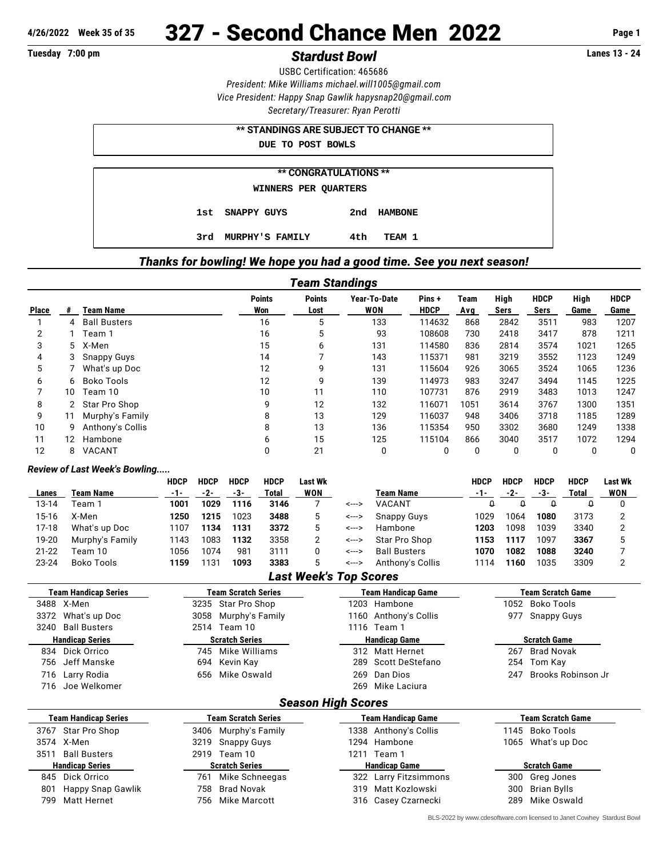# **4/26/2022 Week 35 of 35** 327 - Second Chance Men 2022 **Page 1**

## **Tuesday 7:00 pm** *Stardust Bowl* **Lanes 13 - 24**

USBC Certification: 465686 *President: Mike Williams [michael.will1005@gmail.com](mailto:michael.will1005@gmail.com) Vice President: Happy Snap Gawlik [hapysnap20@gmail.com](mailto:hapysnap20@gmail.com) Secretary/Treasurer: Ryan Perotti*

| ** STANDINGS ARE SUBJECT TO CHANGE ** |                        |     |                |  |  |  |  |  |  |  |
|---------------------------------------|------------------------|-----|----------------|--|--|--|--|--|--|--|
| DUE TO POST BOWLS                     |                        |     |                |  |  |  |  |  |  |  |
|                                       |                        |     |                |  |  |  |  |  |  |  |
| <b>** CONGRATULATIONS **</b>          |                        |     |                |  |  |  |  |  |  |  |
| WINNERS PER QUARTERS                  |                        |     |                |  |  |  |  |  |  |  |
|                                       | 1st SNAPPY GUYS        | 2nd | <b>HAMBONE</b> |  |  |  |  |  |  |  |
| 3rd.                                  | <b>MURPHY'S FAMILY</b> | 4th | TEAM 1         |  |  |  |  |  |  |  |

### *Thanks for bowling! We hope you had a good time. See you next season!*

| Team Standings |                   |                     |                      |                       |                            |                      |             |              |                     |              |                     |
|----------------|-------------------|---------------------|----------------------|-----------------------|----------------------------|----------------------|-------------|--------------|---------------------|--------------|---------------------|
| <b>Place</b>   | #                 | <b>Team Name</b>    | <b>Points</b><br>Won | <b>Points</b><br>Lost | Year-To-Date<br><b>WON</b> | Pins+<br><b>HDCP</b> | Team<br>Avg | High<br>Sers | <b>HDCP</b><br>Sers | High<br>Game | <b>HDCP</b><br>Game |
|                | 4                 | <b>Ball Busters</b> | 16                   | 5                     | 133                        | 114632               | 868         | 2842         | 3511                | 983          | 1207                |
| 2              |                   | Team 1              | 16                   | 5                     | 93                         | 108608               | 730         | 2418         | 3417                | 878          | 1211                |
| 3              |                   | 5 X-Men             | 15                   | 6                     | 131                        | 114580               | 836         | 2814         | 3574                | 1021         | 1265                |
| 4              |                   | <b>Snappy Guys</b>  | 14                   |                       | 143                        | 115371               | 981         | 3219         | 3552                | 1123         | 1249                |
| 5              |                   | What's up Doc       | 12                   | 9                     | 131                        | 115604               | 926         | 3065         | 3524                | 1065         | 1236                |
| 6              | 6                 | Boko Tools          | 12                   | 9                     | 139                        | 114973               | 983         | 3247         | 3494                | 1145         | 1225                |
|                | 10                | Team 10             | 10                   | 11                    | 110                        | 107731               | 876         | 2919         | 3483                | 1013         | 1247                |
| 8              |                   | Star Pro Shop       | 9                    | 12                    | 132                        | 116071               | 1051        | 3614         | 3767                | 1300         | 1351                |
| 9              | 11                | Murphy's Family     | 8                    | 13                    | 129                        | 116037               | 948         | 3406         | 3718                | 1185         | 1289                |
| 10             | 9                 | Anthony's Collis    | 8                    | 13                    | 136                        | 115354               | 950         | 3302         | 3680                | 1249         | 1338                |
| 11             | $12 \overline{ }$ | Hambone             | 6                    | 15                    | 125                        | 115104               | 866         | 3040         | 3517                | 1072         | 1294                |
| 12             | 8                 | VACANT              | 0                    | 21                    | 0                          | 0                    | 0           | 0            | 0                   |              | 0                   |

#### *Review of Last Week's Bowling.....*

|           |                 | <b>HDCP</b> | <b>HDCP</b> | <b>HDCP</b> | <b>HDCP</b> | Last Wk |       |                     | HDCP  | HDCP | <b>HDCP</b> | <b>HDCP</b> | Last Wk |
|-----------|-----------------|-------------|-------------|-------------|-------------|---------|-------|---------------------|-------|------|-------------|-------------|---------|
| Lanes     | Team Name       | -1-         | -2-         | -3-         | Total       | WON     |       | Team Name           | $-1-$ |      | -3-         | Total       | WON     |
| 13-14     | Team 1          | 1001        | 1029        | 1116        | 3146        |         | <---> | VACANT              |       |      |             |             |         |
| 15-16     | X-Men           | 1250        | 1215        | 1023        | 3488        |         | <---> | <b>Snappy Guys</b>  | 1029  | 1064 | 1080        | 3173        |         |
| $17-18$   | What's up Doc   | 1107        | 1134        | 1131        | 3372        |         | <---> | Hambone             | 1203  | 1098 | 1039        | 3340        |         |
| 19-20     | Murphy's Family | 1143        | 1083        | 1132        | 3358        |         | <---> | Star Pro Shop       | 1153  | 1117 | 1097        | 3367        |         |
| $21 - 22$ | Team 10         | 1056        | 1074        | 981         | 3111        |         | <---> | <b>Ball Busters</b> | 1070  | 1082 | 1088        | 3240        |         |
| $23 - 24$ | Boko Tools      | 1159        | 1131        | 1093        | 3383        |         | <---> | Anthony's Collis    | 1114  | 1160 | 1035        | 3309        |         |

#### *Last Week's Top Scores*

| <b>Team Scratch Series</b><br><b>Team Handicap Series</b> |                            | <b>Team Handicap Game</b> | Team Scratch Game         |  |  |  |  |  |  |  |
|-----------------------------------------------------------|----------------------------|---------------------------|---------------------------|--|--|--|--|--|--|--|
| 3488 X-Men                                                | 3235 Star Pro Shop         | 1203 Hambone              | 1052 Boko Tools           |  |  |  |  |  |  |  |
| 3372 What's up Doc                                        | 3058 Murphy's Family       | 1160 Anthony's Collis     | <b>Snappy Guys</b><br>977 |  |  |  |  |  |  |  |
| 3240 Ball Busters                                         | 2514 Team 10               | 1116 Team 1               |                           |  |  |  |  |  |  |  |
| <b>Handicap Series</b>                                    | <b>Scratch Series</b>      | <b>Handicap Game</b>      | <b>Scratch Game</b>       |  |  |  |  |  |  |  |
| Dick Orrico<br>834                                        | 745 Mike Williams          | Matt Hernet<br>312        | 267 Brad Novak            |  |  |  |  |  |  |  |
| Jeff Manske<br>756                                        | 694 Kevin Kay              | 289 Scott DeStefano       | 254 Tom Kay               |  |  |  |  |  |  |  |
| Larry Rodia<br>716                                        | 656 Mike Oswald            | Dan Dios<br>269           | Brooks Robinson Jr<br>247 |  |  |  |  |  |  |  |
| 716 Joe Welkomer                                          |                            | Mike Laciura<br>269       |                           |  |  |  |  |  |  |  |
| <b>Season High Scores</b>                                 |                            |                           |                           |  |  |  |  |  |  |  |
| <b>Team Handicap Series</b>                               | <b>Team Scratch Series</b> | <b>Team Handicap Game</b> | <b>Team Scratch Game</b>  |  |  |  |  |  |  |  |

| 3767 Star Pro Shop       | 3406 Murphy's Family  | 1338 Anthony's Collis | 1145 Boko Tools     |  |
|--------------------------|-----------------------|-----------------------|---------------------|--|
| 3574 X-Men               | 3219 Snappy Guys      | 1294 Hambone          | 1065 What's up Doc  |  |
| Ball Busters<br>3511     | 2919 Team 10          | Team 1<br>1211        |                     |  |
| <b>Handicap Series</b>   | <b>Scratch Series</b> | <b>Handicap Game</b>  | <b>Scratch Game</b> |  |
| 845 Dick Orrico          | 761 Mike Schneegas    | 322 Larry Fitzsimmons | 300 Greg Jones      |  |
| Happy Snap Gawlik<br>801 | 758 Brad Novak        | 319 Matt Kozlowski    | 300 Brian Bylls     |  |
|                          |                       |                       |                     |  |
| 799 Matt Hernet          | 756 Mike Marcott      | 316 Casey Czarnecki   | 289 Mike Oswald     |  |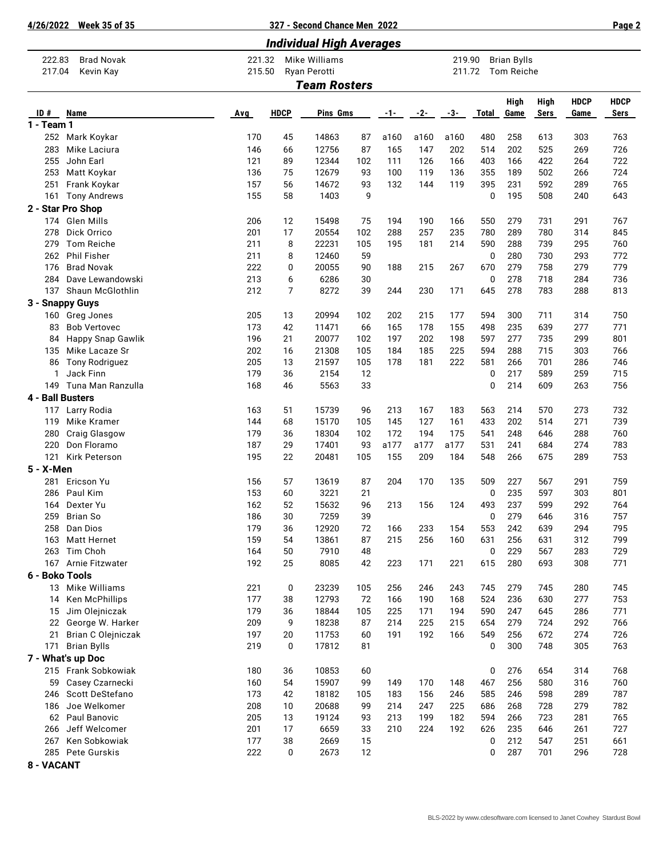**8 - VACANT**